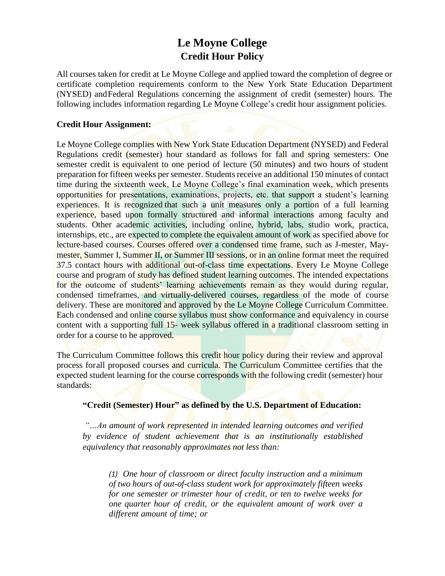# **Le Moyne College Credit Hour Policy**

All courses taken for credit at Le Moyne College and applied toward the completion of degree or certificate completion requirements conform to the New York State Education Department (NYSED) andFederal Regulations concerning the assignment of credit (semester) hours. The following includes information regarding Le Moyne College's credit hour assignment policies.

## **Credit Hour Assignment:**

Le Moyne College complies with New York State Education Department (NYSED) and Federal Regulations credit (semester) hour standard as follows for fall and spring semesters: One semester credit is equivalent to one period of lecture (50 minutes) and two hours of student preparation for fifteen weeks per semester. Students receive an additional 150 minutes of contact time during the sixteenth week, Le Moyne College's final examination week, which presents opportunities for presentations, examinations, projects, etc. that support a student's learning experiences. It is recognized that such a unit measures only a portion of a full learning experience, based upon formally structured and informal interactions among faculty and students. Other academic activities, including online, hybrid, labs, studio work, practica, internships, etc., are expected to complete the equivalent amount of work as specified above for lecture-based courses. Courses offered over a condensed time frame, such as J-mester, Maymester, Summer I, Summer II, or Summer III sessions, or in an online format meet the required 37.5 contact hours with additional out-of-class time expectations. Every Le Moyne College course and program of study has defined student learning outcomes. The intended expectations for the outcome of students' learning achievements remain as they would during regular, condensed timeframes, and virtually-delivered courses, regardless of the mode of course delivery. These are monitored and approved by the Le Moyne College Curriculum Committee. Each condensed and online course syllabus must show conformance and equivalency in course content with a supporting full 15- week syllabus offered in a traditional classroom setting in order for a course to be approved.

The Curriculum Committee follows this credit hour policy during their review and approval process forall proposed courses and curricula. The Curriculum Committee certifies that the expected student learning for the course corresponds with the following credit (semester) hour standards:

#### **"Credit (Semester) Hour" as defined by the U.S. Department of Education:**

*"…An amount of work represented in intended learning outcomes and verified by evidence of student achievement that is an institutionally established equivalency that reasonably approximates not less than:*

*(1) One hour of classroom or direct faculty instruction and a minimum of two hours of out-of-class student work for approximately fifteen weeks for one semester or trimester hour of credit, or ten to twelve weeks for one quarter hour of credit, or the equivalent amount of work over a different amount of time; or*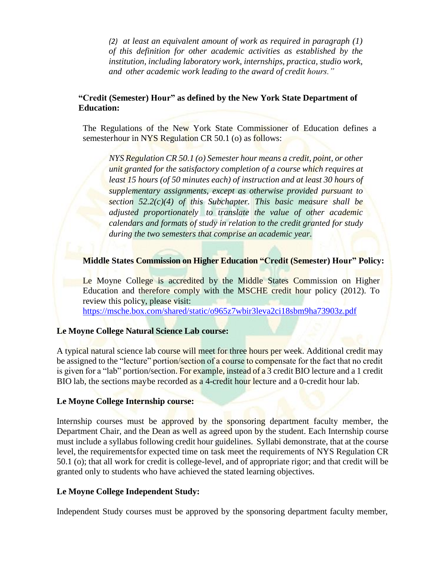*(2) at least an equivalent amount of work as required in paragraph (1) of this definition for other academic activities as established by the institution, including laboratory work, internships, practica, studio work, and other academic work leading to the award of credit hours."*

# **"Credit (Semester) Hour" as defined by the New York State Department of Education:**

The Regulations of the New York State Commissioner of Education defines a semesterhour in NYS Regulation CR 50.1 (o) as follows:

*NYS Regulation CR 50.1 (o) Semester hour means a credit, point, or other unit granted for the satisfactory completion of a course which requires at least 15 hours (of 50 minutes each) of instruction and at least 30 hours of supplementary assignments, except as otherwise provided pursuant to section 52.2(c)(4) of this Subchapter. This basic measure shall be adjusted proportionately to translate the value of other academic calendars and formats of study in relation to the credit granted for study during the two semesters that comprise an academic year.*

# **Middle States Commission on Higher Education "Credit (Semester) Hour" Policy:**

Le Moyne College is accredited by the Middle States Commission on Higher Education and therefore comply with the MSCHE credit hour policy (2012). To review this policy, please visit: <https://msche.box.com/shared/static/o965z7wbir3leva2ci18sbm9ha73903z.pdf>

# **Le Moyne College Natural Science Lab course:**

A typical natural science lab course will meet for three hours per week. Additional credit may be assigned to the "lecture" portion/section of a course to compensate for the fact that no credit is given for a "lab" portion/section. For example, instead of a 3 credit BIO lecture and a 1 credit BIO lab, the sections may be recorded as a 4-credit hour lecture and a 0-credit hour lab.

#### **Le Moyne College Internship course:**

Internship courses must be approved by the sponsoring department faculty member, the Department Chair, and the Dean as well as agreed upon by the student. Each Internship course must include a syllabus following credit hour guidelines. Syllabi demonstrate, that at the course level, the requirementsfor expected time on task meet the requirements of NYS Regulation CR 50.1 (o); that all work for credit is college-level, and of appropriate rigor; and that credit will be granted only to students who have achieved the stated learning objectives.

#### **Le Moyne College Independent Study:**

Independent Study courses must be approved by the sponsoring department faculty member,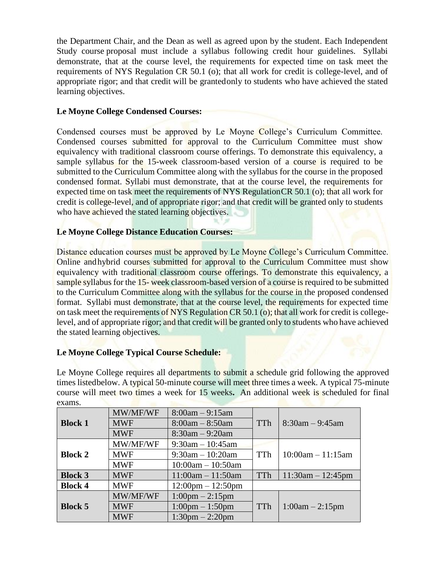the Department Chair, and the Dean as well as agreed upon by the student. Each Independent Study course proposal must include a syllabus following credit hour guidelines. Syllabi demonstrate, that at the course level, the requirements for expected time on task meet the requirements of NYS Regulation CR 50.1 (o); that all work for credit is college-level, and of appropriate rigor; and that credit will be grantedonly to students who have achieved the stated learning objectives.

# **Le Moyne College Condensed Courses:**

Condensed courses must be approved by Le Moyne College's Curriculum Committee. Condensed courses submitted for approval to the Curriculum Committee must show equivalency with traditional classroom course offerings. To demonstrate this equivalency, a sample syllabus for the 15-week classroom-based version of a course is required to be submitted to the Curriculum Committee along with the syllabus for the course in the proposed condensed format. Syllabi must demonstrate, that at the course level, the requirements for expected time on task meet the requirements of NYS RegulationCR 50.1 (o); that all work for credit is college-level, and of appropriate rigor; and that credit will be granted only to students who have achieved the stated learning objectives.

# **Le Moyne College Distance Education Courses:**

Distance education courses must be approved by Le Moyne College's Curriculum Committee. Online andhybrid courses submitted for approval to the Curriculum Committee must show equivalency with traditional classroom course offerings. To demonstrate this equivalency, a sample syllabus for the 15- week classroom-based version of a course is required to be submitted to the Curriculum Committee along with the syllabus for the course in the proposed condensed format. Syllabi must demonstrate, that at the course level, the requirements for expected time on task meet the requirements of NYS Regulation CR 50.1 (o); that all work for credit is collegelevel, and of appropriate rigor; and that credit will be granted only to students who have achieved the stated learning objectives.

# **Le Moyne College Typical Course Schedule:**

Le Moyne College requires all departments to submit a schedule grid following the approved times listedbelow. A typical 50-minute course will meet three times a week. A typical 75-minute course will meet two times a week for 15 weeks**.** An additional week is scheduled for final exams.

|                | MW/MF/WF   | $8:00am - 9:15am$                   |            |                      |
|----------------|------------|-------------------------------------|------------|----------------------|
| <b>Block 1</b> | <b>MWF</b> | $8:00am - 8:50am$                   | <b>TTh</b> | $8:30$ am $-9:45$ am |
|                | <b>MWF</b> | $8:30am - 9:20am$                   |            |                      |
|                | MW/MF/WF   | $9:30$ am $-10:45$ am               |            |                      |
| <b>Block 2</b> | <b>MWF</b> | $9:30am - 10:20am$                  | <b>TTh</b> | $10:00am - 11:15am$  |
|                | <b>MWF</b> | $10:00$ am $- 10:50$ am             |            |                      |
| <b>Block 3</b> | <b>MWF</b> | $11:00am - 11:50am$                 | TTh        | $11:30am - 12:45pm$  |
| <b>Block 4</b> | <b>MWF</b> | $12:00 \text{pm} - 12:50 \text{pm}$ |            |                      |
|                | MW/MF/WF   | $1:00 \text{pm} - 2:15 \text{pm}$   |            |                      |
| <b>Block 5</b> | <b>MWF</b> | $1:00 \text{pm} - 1:50 \text{pm}$   | TTh        | $1:00am - 2:15pm$    |
|                | <b>MWF</b> | $1:30 \text{pm} - 2:20 \text{pm}$   |            |                      |